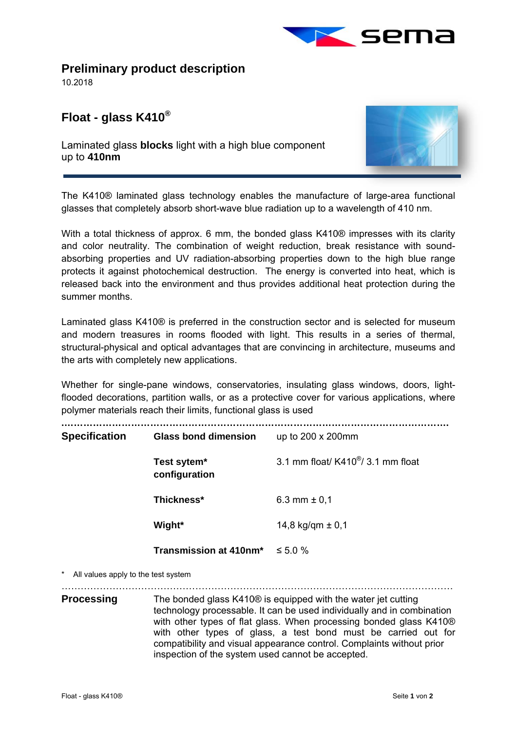

**Preliminary product description** 

10.2018

l,

## **Float - glass K410®**

Laminated glass **blocks** light with a high blue component up to **410nm** 



The K410® laminated glass technology enables the manufacture of large-area functional glasses that completely absorb short-wave blue radiation up to a wavelength of 410 nm.

With a total thickness of approx. 6 mm, the bonded glass K410<sup>®</sup> impresses with its clarity and color neutrality. The combination of weight reduction, break resistance with soundabsorbing properties and UV radiation-absorbing properties down to the high blue range protects it against photochemical destruction. The energy is converted into heat, which is released back into the environment and thus provides additional heat protection during the summer months.

Laminated glass K410® is preferred in the construction sector and is selected for museum and modern treasures in rooms flooded with light. This results in a series of thermal, structural-physical and optical advantages that are convincing in architecture, museums and the arts with completely new applications.

Whether for single-pane windows, conservatories, insulating glass windows, doors, lightflooded decorations, partition walls, or as a protective cover for various applications, where polymer materials reach their limits, functional glass is used

| <b>Specification</b>                                                   | <b>Glass bond dimension</b>          | up to 200 x 200mm                               |
|------------------------------------------------------------------------|--------------------------------------|-------------------------------------------------|
|                                                                        | Test sytem*<br>configuration         | 3.1 mm float/ $K410^{\circledast}/3.1$ mm float |
|                                                                        | Thickness*                           | 6.3 mm $\pm$ 0,1                                |
|                                                                        | Wight*                               | 14,8 kg/qm $\pm$ 0,1                            |
|                                                                        | Transmission at 410nm* $\leq 5.0 \%$ |                                                 |
| $\mathbf{A}$ . All the seconds to the field of the set of $\mathbf{A}$ |                                      |                                                 |

All values apply to the test system

. The contract of the contract of the contract of the contract of the contract of the contract of the contract of the contract of the contract of the contract of the contract of the contract of the contract of the contrac

**Processing** The bonded glass K410<sup>®</sup> is equipped with the water jet cutting technology processable. It can be used individually and in combination with other types of flat glass. When processing bonded glass K410® with other types of glass, a test bond must be carried out for compatibility and visual appearance control. Complaints without prior inspection of the system used cannot be accepted.